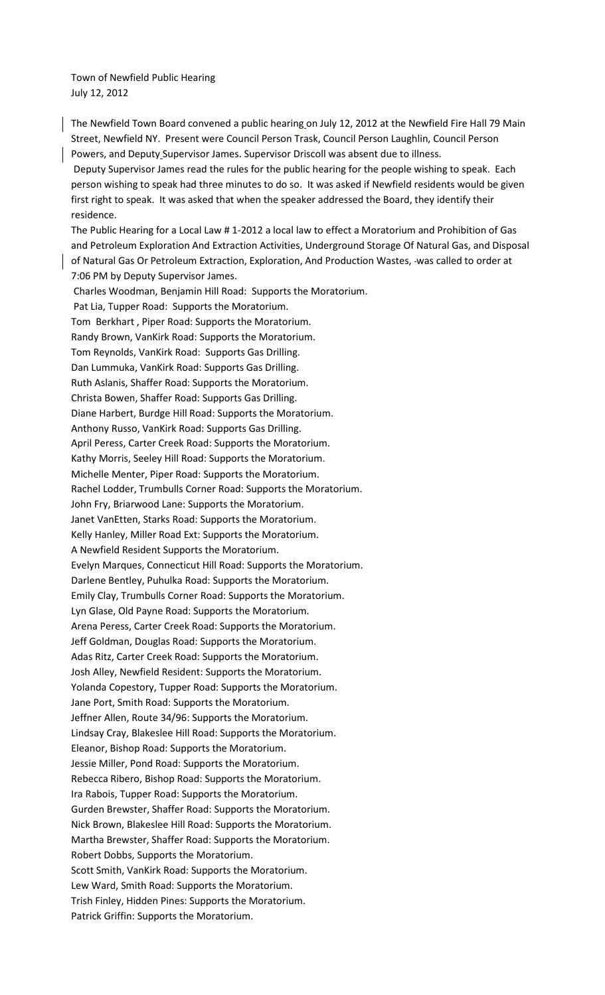Town of Newfield Public Hearing July 12, 2012

The Newfield Town Board convened a public hearing on July 12, 2012 at the Newfield Fire Hall 79 Main Street, Newfield NY. Present were Council Person Trask, Council Person Laughlin, Council Person Powers, and Deputy Supervisor James. Supervisor Driscoll was absent due to illness.

 Deputy Supervisor James read the rules for the public hearing for the people wishing to speak. Each person wishing to speak had three minutes to do so. It was asked if Newfield residents would be given first right to speak. It was asked that when the speaker addressed the Board, they identify their residence.

The Public Hearing for a Local Law # 1-2012 a local law to effect a Moratorium and Prohibition of Gas and Petroleum Exploration And Extraction Activities, Underground Storage Of Natural Gas, and Disposal of Natural Gas Or Petroleum Extraction, Exploration, And Production Wastes, was called to order at 7:06 PM by Deputy Supervisor James.

 Charles Woodman, Benjamin Hill Road: Supports the Moratorium. Pat Lia, Tupper Road: Supports the Moratorium. Tom Berkhart , Piper Road: Supports the Moratorium. Randy Brown, VanKirk Road: Supports the Moratorium. Tom Reynolds, VanKirk Road: Supports Gas Drilling. Dan Lummuka, VanKirk Road: Supports Gas Drilling. Ruth Aslanis, Shaffer Road: Supports the Moratorium. Christa Bowen, Shaffer Road: Supports Gas Drilling. Diane Harbert, Burdge Hill Road: Supports the Moratorium. Anthony Russo, VanKirk Road: Supports Gas Drilling. April Peress, Carter Creek Road: Supports the Moratorium. Kathy Morris, Seeley Hill Road: Supports the Moratorium. Michelle Menter, Piper Road: Supports the Moratorium. Rachel Lodder, Trumbulls Corner Road: Supports the Moratorium. John Fry, Briarwood Lane: Supports the Moratorium. Janet VanEtten, Starks Road: Supports the Moratorium. Kelly Hanley, Miller Road Ext: Supports the Moratorium. A Newfield Resident Supports the Moratorium. Evelyn Marques, Connecticut Hill Road: Supports the Moratorium. Darlene Bentley, Puhulka Road: Supports the Moratorium. Emily Clay, Trumbulls Corner Road: Supports the Moratorium. Lyn Glase, Old Payne Road: Supports the Moratorium. Arena Peress, Carter Creek Road: Supports the Moratorium. Jeff Goldman, Douglas Road: Supports the Moratorium. Adas Ritz, Carter Creek Road: Supports the Moratorium. Josh Alley, Newfield Resident: Supports the Moratorium. Yolanda Copestory, Tupper Road: Supports the Moratorium. Jane Port, Smith Road: Supports the Moratorium. Jeffner Allen, Route 34/96: Supports the Moratorium. Lindsay Cray, Blakeslee Hill Road: Supports the Moratorium. Eleanor, Bishop Road: Supports the Moratorium. Jessie Miller, Pond Road: Supports the Moratorium. Rebecca Ribero, Bishop Road: Supports the Moratorium. Ira Rabois, Tupper Road: Supports the Moratorium. Gurden Brewster, Shaffer Road: Supports the Moratorium. Nick Brown, Blakeslee Hill Road: Supports the Moratorium. Martha Brewster, Shaffer Road: Supports the Moratorium. Robert Dobbs, Supports the Moratorium. Scott Smith, VanKirk Road: Supports the Moratorium. Lew Ward, Smith Road: Supports the Moratorium. Trish Finley, Hidden Pines: Supports the Moratorium. Patrick Griffin: Supports the Moratorium.